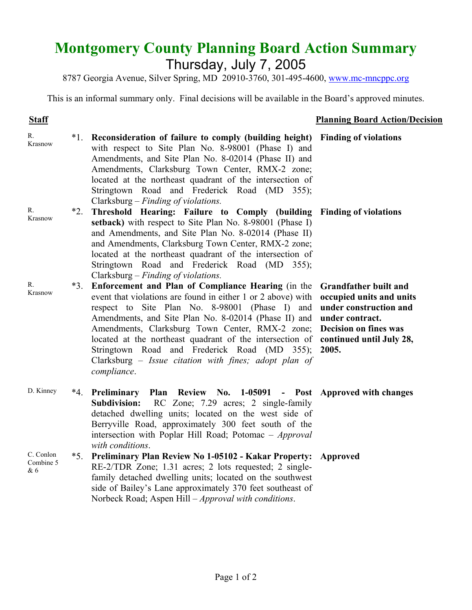## **Montgomery County Planning Board Action Summary** Thursday, July 7, 2005

8787 Georgia Avenue, Silver Spring, MD 20910-3760, 301-495-4600, www.mc-mncppc.org

This is an informal summary only. Final decisions will be available in the Board's approved minutes.

## **Staff** Planning Board Action/Decision

| $R_{\cdot}$<br>Krasnow        | $*1$ . | Reconsideration of failure to comply (building height) Finding of violations<br>with respect to Site Plan No. 8-98001 (Phase I) and<br>Amendments, and Site Plan No. 8-02014 (Phase II) and<br>Amendments, Clarksburg Town Center, RMX-2 zone;<br>located at the northeast quadrant of the intersection of<br>Stringtown Road and Frederick Road (MD 355);<br>Clarksburg – Finding of violations.                                                                                            |                                                                                                                                                |
|-------------------------------|--------|----------------------------------------------------------------------------------------------------------------------------------------------------------------------------------------------------------------------------------------------------------------------------------------------------------------------------------------------------------------------------------------------------------------------------------------------------------------------------------------------|------------------------------------------------------------------------------------------------------------------------------------------------|
| R.<br>Krasnow                 | $*2.$  | Threshold Hearing: Failure to Comply (building Finding of violations<br>setback) with respect to Site Plan No. 8-98001 (Phase I)<br>and Amendments, and Site Plan No. 8-02014 (Phase II)<br>and Amendments, Clarksburg Town Center, RMX-2 zone;<br>located at the northeast quadrant of the intersection of<br>Stringtown Road and Frederick Road (MD 355);<br>Clarksburg – Finding of violations.                                                                                           |                                                                                                                                                |
| $R_{\cdot}$<br>Krasnow        | $*3.$  | Enforcement and Plan of Compliance Hearing (in the<br>event that violations are found in either 1 or 2 above) with<br>respect to Site Plan No. 8-98001 (Phase I) and<br>Amendments, and Site Plan No. 8-02014 (Phase II) and<br>Amendments, Clarksburg Town Center, RMX-2 zone;<br>located at the northeast quadrant of the intersection of continued until July 28,<br>Stringtown Road and Frederick Road (MD 355);<br>Clarksburg - Issue citation with fines; adopt plan of<br>compliance. | <b>Grandfather built and</b><br>occupied units and units<br>under construction and<br>under contract.<br><b>Decision on fines was</b><br>2005. |
| D. Kinney                     | $*4.$  | Preliminary Plan Review No. 1-05091 - Post Approved with changes<br><b>Subdivision:</b><br>RC Zone; 7.29 acres; 2 single-family<br>detached dwelling units; located on the west side of<br>Berryville Road, approximately 300 feet south of the<br>intersection with Poplar Hill Road; Potomac - Approval<br>with conditions.                                                                                                                                                                |                                                                                                                                                |
| C. Conlon<br>Combine 5<br>& 6 | $*5.$  | <b>Preliminary Plan Review No 1-05102 - Kakar Property:</b><br>RE-2/TDR Zone; 1.31 acres; 2 lots requested; 2 single-<br>family detached dwelling units; located on the southwest<br>side of Bailey's Lane approximately 370 feet southeast of<br>Norbeck Road; Aspen Hill - Approval with conditions.                                                                                                                                                                                       | Approved                                                                                                                                       |